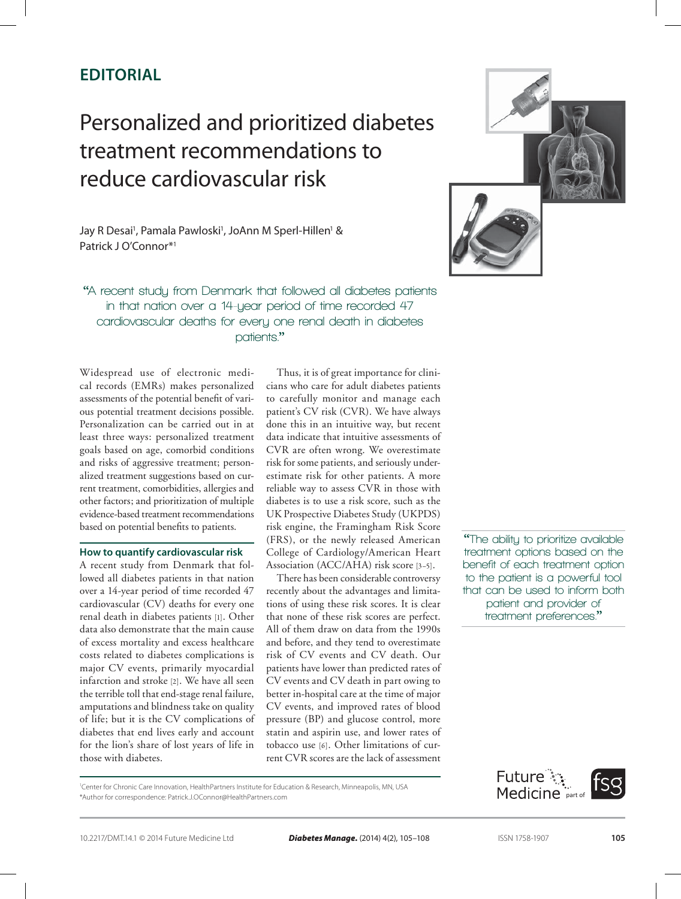# **Editorial**

# Personalized and prioritized diabetes treatment recommendations to reduce cardiovascular risk



Jay R Desai<sup>1</sup>, Pamala Pawloski<sup>1</sup>, JoAnn M Sperl-Hillen<sup>1</sup> & Patrick J O'Connor\*<sup>1</sup>

**"A recent study from Denmark that followed all diabetes patients in that nation over a 14‑year period of time recorded 47 cardiovascular deaths for every one renal death in diabetes patients."**

Widespread use of electronic medical records (EMRs) makes personalized assessments of the potential benefit of various potential treatment decisions possible. Personalization can be carried out in at least three ways: personalized treatment goals based on age, comorbid conditions and risks of aggressive treatment; personalized treatment suggestions based on current treatment, comorbidities, allergies and other factors; and prioritization of multiple evidence-based treatment recommendations based on potential benefits to patients.

### **How to quantify cardiovascular risk**

A recent study from Denmark that followed all diabetes patients in that nation over a 14-year period of time recorded 47 cardiovascular (CV) deaths for every one renal death in diabetes patients [1]. Other data also demonstrate that the main cause of excess mortality and excess healthcare costs related to diabetes complications is major CV events, primarily myocardial infarction and stroke [2]. We have all seen the terrible toll that end-stage renal failure, amputations and blindness take on quality of life; but it is the CV complications of diabetes that end lives early and account for the lion's share of lost years of life in those with diabetes.

Thus, it is of great importance for clinicians who care for adult diabetes patients to carefully monitor and manage each patient's CV risk (CVR). We have always done this in an intuitive way, but recent data indicate that intuitive assessments of CVR are often wrong. We overestimate risk for some patients, and seriously underestimate risk for other patients. A more reliable way to assess CVR in those with diabetes is to use a risk score, such as the UK Prospective Diabetes Study (UKPDS) risk engine, the Framingham Risk Score (FRS), or the newly released American College of Cardiology/American Heart Association (ACC/AHA) risk score [3–5].

There has been considerable controversy recently about the advantages and limitations of using these risk scores. It is clear that none of these risk scores are perfect. All of them draw on data from the 1990s and before, and they tend to overestimate risk of CV events and CV death. Our patients have lower than predicted rates of CV events and CV death in part owing to better in-hospital care at the time of major CV events, and improved rates of blood pressure (BP) and glucose control, more statin and aspirin use, and lower rates of tobacco use [6]. Other limitations of current CVR scores are the lack of assessment

**"The ability to prioritize available treatment options based on the benefit of each treatment option to the patient is a powerful tool that can be used to inform both patient and provider of treatment preferences."**

<sup>1</sup>Center for Chronic Care Innovation, HealthPartners Institute for Education & Research, Minneapolis, MN, USA \*Author for correspondence: Patrick.J.OConnor@HealthPartners.com

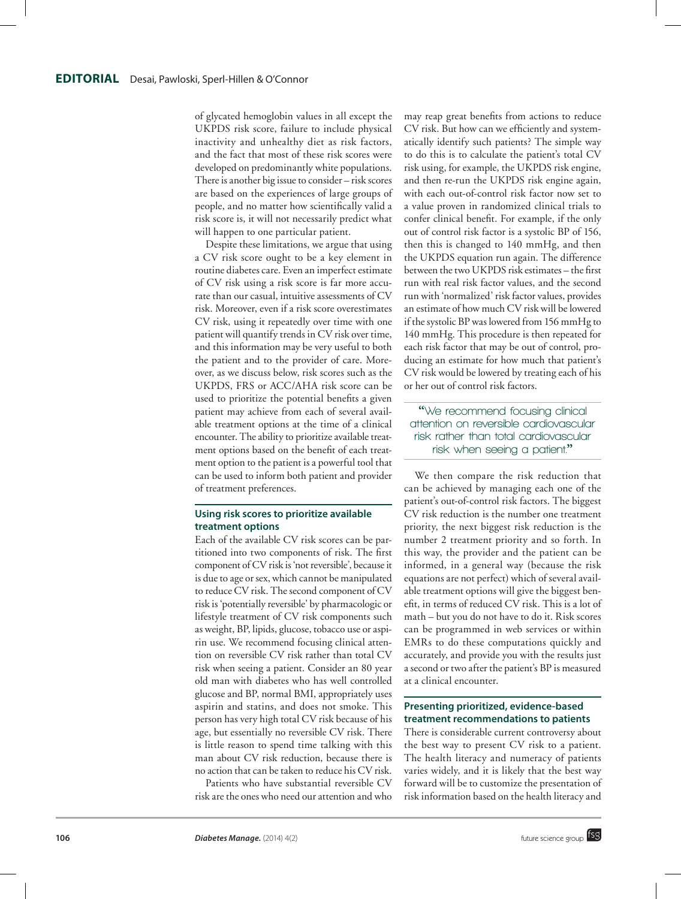of glycated hemoglobin values in all except the UKPDS risk score, failure to include physical inactivity and unhealthy diet as risk factors, and the fact that most of these risk scores were developed on predominantly white populations. There is another big issue to consider – risk scores are based on the experiences of large groups of people, and no matter how scientifically valid a risk score is, it will not necessarily predict what will happen to one particular patient.

Despite these limitations, we argue that using a CV risk score ought to be a key element in routine diabetes care. Even an imperfect estimate of CV risk using a risk score is far more accurate than our casual, intuitive assessments of CV risk. Moreover, even if a risk score overestimates CV risk, using it repeatedly over time with one patient will quantify trends in CV risk over time, and this information may be very useful to both the patient and to the provider of care. Moreover, as we discuss below, risk scores such as the UKPDS, FRS or ACC/AHA risk score can be used to prioritize the potential benefits a given patient may achieve from each of several available treatment options at the time of a clinical encounter. The ability to prioritize available treatment options based on the benefit of each treatment option to the patient is a powerful tool that can be used to inform both patient and provider of treatment preferences.

## **Using risk scores to prioritize available treatment options**

Each of the available CV risk scores can be partitioned into two components of risk. The first component of CV risk is 'not reversible', because it is due to age or sex, which cannot be manipulated to reduce CV risk. The second component of CV risk is 'potentially reversible' by pharmacologic or lifestyle treatment of CV risk components such as weight, BP, lipids, glucose, tobacco use or aspirin use. We recommend focusing clinical attention on reversible CV risk rather than total CV risk when seeing a patient. Consider an 80 year old man with diabetes who has well controlled glucose and BP, normal BMI, appropriately uses aspirin and statins, and does not smoke. This person has very high total CV risk because of his age, but essentially no reversible CV risk. There is little reason to spend time talking with this man about CV risk reduction, because there is no action that can be taken to reduce his CV risk.

Patients who have substantial reversible CV risk are the ones who need our attention and who

may reap great benefits from actions to reduce CV risk. But how can we efficiently and systematically identify such patients? The simple way to do this is to calculate the patient's total CV risk using, for example, the UKPDS risk engine, and then re-run the UKPDS risk engine again, with each out-of-control risk factor now set to a value proven in randomized clinical trials to confer clinical benefit. For example, if the only out of control risk factor is a systolic BP of 156, then this is changed to 140 mmHg, and then the UKPDS equation run again. The difference between the two UKPDS risk estimates – the first run with real risk factor values, and the second run with 'normalized' risk factor values, provides an estimate of how much CV risk will be lowered if the systolic BP was lowered from 156 mmHg to 140 mmHg. This procedure is then repeated for each risk factor that may be out of control, producing an estimate for how much that patient's CV risk would be lowered by treating each of his or her out of control risk factors.

**"We recommend focusing clinical attention on reversible cardiovascular risk rather than total cardiovascular risk when seeing a patient."**

We then compare the risk reduction that can be achieved by managing each one of the patient's out-of-control risk factors. The biggest CV risk reduction is the number one treatment priority, the next biggest risk reduction is the number 2 treatment priority and so forth. In this way, the provider and the patient can be informed, in a general way (because the risk equations are not perfect) which of several available treatment options will give the biggest benefit, in terms of reduced CV risk. This is a lot of math – but you do not have to do it. Risk scores can be programmed in web services or within EMRs to do these computations quickly and accurately, and provide you with the results just a second or two after the patient's BP is measured at a clinical encounter.

#### **Presenting prioritized, evidence-based treatment recommendations to patients**

There is considerable current controversy about the best way to present CV risk to a patient. The health literacy and numeracy of patients varies widely, and it is likely that the best way forward will be to customize the presentation of risk information based on the health literacy and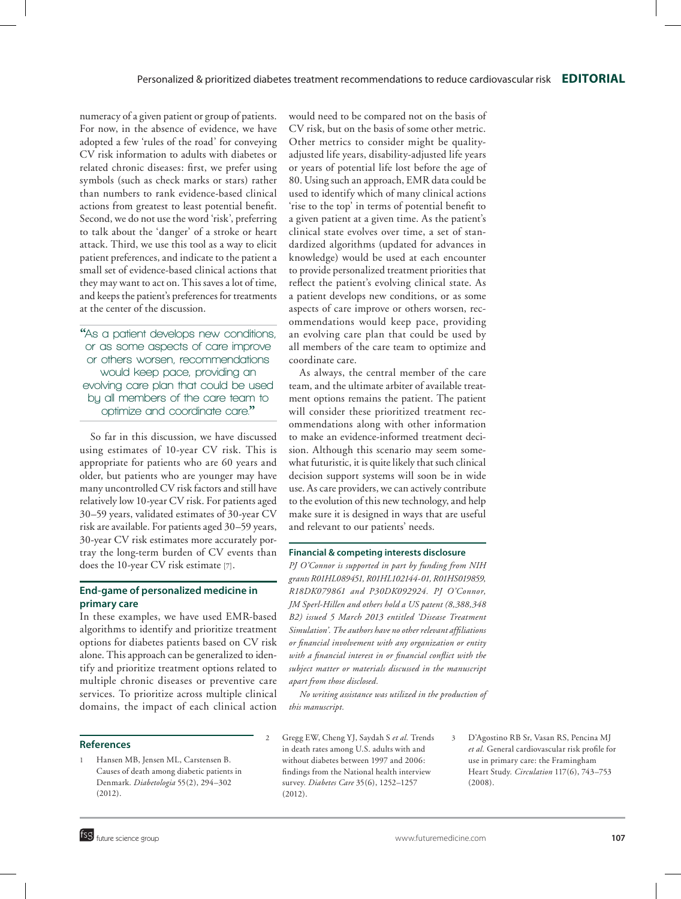numeracy of a given patient or group of patients. For now, in the absence of evidence, we have adopted a few 'rules of the road' for conveying CV risk information to adults with diabetes or related chronic diseases: first, we prefer using symbols (such as check marks or stars) rather than numbers to rank evidence-based clinical actions from greatest to least potential benefit. Second, we do not use the word 'risk', preferring to talk about the 'danger' of a stroke or heart attack. Third, we use this tool as a way to elicit patient preferences, and indicate to the patient a small set of evidence-based clinical actions that they may want to act on. This saves a lot of time, and keeps the patient's preferences for treatments at the center of the discussion.

**"As a patient develops new conditions, or as some aspects of care improve or others worsen, recommendations would keep pace, providing an evolving care plan that could be used by all members of the care team to optimize and coordinate care."**

So far in this discussion, we have discussed using estimates of 10-year CV risk. This is appropriate for patients who are 60 years and older, but patients who are younger may have many uncontrolled CV risk factors and still have relatively low 10-year CV risk. For patients aged 30–59 years, validated estimates of 30-year CV risk are available. For patients aged 30–59 years, 30-year CV risk estimates more accurately portray the long-term burden of CV events than does the 10-year CV risk estimate [7].

#### **End-game of personalized medicine in primary care**

In these examples, we have used EMR-based algorithms to identify and prioritize treatment options for diabetes patients based on CV risk alone. This approach can be generalized to identify and prioritize treatment options related to multiple chronic diseases or preventive care services. To prioritize across multiple clinical domains, the impact of each clinical action

#### **References**

Hansen MB, Jensen ML, Carstensen B. Causes of death among diabetic patients in Denmark*. Diabetologia* 55(2), 294–302 (2012).

would need to be compared not on the basis of CV risk, but on the basis of some other metric. Other metrics to consider might be qualityadjusted life years, disability-adjusted life years or years of potential life lost before the age of 80. Using such an approach, EMR data could be used to identify which of many clinical actions 'rise to the top' in terms of potential benefit to a given patient at a given time. As the patient's clinical state evolves over time, a set of standardized algorithms (updated for advances in knowledge) would be used at each encounter to provide personalized treatment priorities that reflect the patient's evolving clinical state. As a patient develops new conditions, or as some aspects of care improve or others worsen, recommendations would keep pace, providing an evolving care plan that could be used by all members of the care team to optimize and coordinate care.

As always, the central member of the care team, and the ultimate arbiter of available treatment options remains the patient. The patient will consider these prioritized treatment recommendations along with other information to make an evidence-informed treatment decision. Although this scenario may seem somewhat futuristic, it is quite likely that such clinical decision support systems will soon be in wide use. As care providers, we can actively contribute to the evolution of this new technology, and help make sure it is designed in ways that are useful and relevant to our patients' needs.

#### **Financial & competing interests disclosure**

*PJ O'Connor is supported in part by funding from NIH grants R01HL089451, R01HL102144-01, R01HS019859, R18DK079861 and P30DK092924. PJ O'Connor, JM Sperl-Hillen and others hold a US patent (8,388,348 B2) issued 5 March 2013 entitled 'Disease Treatment Simulation'. The authors have no other relevant affiliations or financial involvement with any organization or entity with a financial interest in or financial conflict with the subject matter or materials discussed in the manuscript apart from those disclosed.*

*No writing assistance was utilized in the production of this manuscript.* 

- 2 Gregg EW, Cheng YJ, Saydah S *et al.* Trends in death rates among U.S. adults with and without diabetes between 1997 and 2006: findings from the National health interview survey*. Diabetes Care* 35(6), 1252–1257 (2012).
- 3 [D'Agostino RB Sr](http://www.ncbi.nlm.nih.gov/pubmed?term=D), [Vasan RS](http://www.ncbi.nlm.nih.gov/pubmed?term=Vasan RS%5BAuthor%5D&cauthor=true&cauthor_uid=18212285), [Pencina MJ](http://www.ncbi.nlm.nih.gov/pubmed?term=Pencina MJ%5BAuthor%5D&cauthor=true&cauthor_uid=18212285) *et al.* General cardiovascular risk profile for use in primary care: the Framingham Heart Study*. Circulation* 117(6), 743–753 (2008).